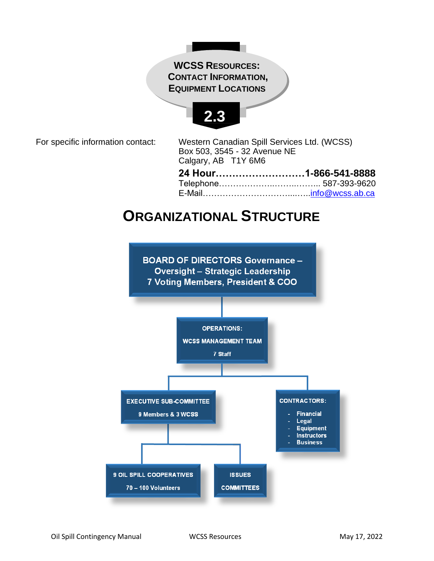#### **WCSS RESOURCES & WCSS RESOURCES: CONTACT INFORMATION, CONTACT INFORMATION, EQUIPMENT LOCATIONS**



For specific information contact: Western Canadian Spill Services Ltd. (WCSS) Box 503, 3545 - 32 Avenue NE Calgary, AB T1Y 6M6

| 24 Hour………………………1-866-541-8888     |  |
|------------------------------------|--|
| Telephone……………………………… 587-393-9620 |  |
|                                    |  |

#### **ORGANIZATIONAL STRUCTURE**

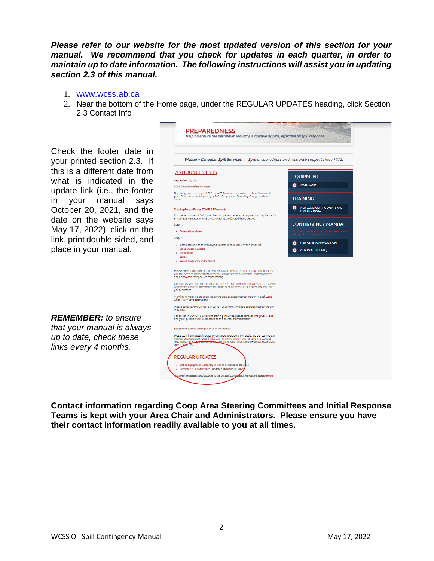*Please refer to our website for the most updated version of this section for your manual. We recommend that you check for updates in each quarter, in order to maintain up to date information. The following instructions will assist you in updating section 2.3 of this manual.*

- 1. [www.wcss.ab.ca](http://www.wcss.ab.ca/)
- 2. Near the bottom of the Home page, under the REGULAR UPDATES heading, click Section 2.3 Contact Info

Check the footer date in your printed section 2.3. If this is a different date from what is indicated in the update link (i.e., the footer in your manual says October 20, 2021, and the date on the website says May 17, 2022), click on the link, print double-sided, and place in your manual.

*REMEMBER: to ensure that your manual is always up to date, check these links every 4 months.*

| <b>PREPAREDNESS</b><br>Helping ensure the petroleum industry is capable of safe, effective oil spill response.                                                                                                                                                              |                                                                                |
|-----------------------------------------------------------------------------------------------------------------------------------------------------------------------------------------------------------------------------------------------------------------------------|--------------------------------------------------------------------------------|
| Western Canadian Spill Services: Spill preparedness and response support since 1972.                                                                                                                                                                                        |                                                                                |
| <b>ANNOUNCEMENTS</b>                                                                                                                                                                                                                                                        |                                                                                |
| September 20, 2021                                                                                                                                                                                                                                                          | <b>EQUIPMENT</b>                                                               |
| 2022 Coop Boundary Changes                                                                                                                                                                                                                                                  | <b>LEARN MORE</b><br>51                                                        |
| Big changes are coming in 2022 for WCSS and we are excited to share them with<br>you! Please visit our Maps page / 2022 Cooperative Boundary Changes to learn<br>more                                                                                                       | <b>TRAINING</b>                                                                |
| <b>Training Access During COVID-19 Pandemic</b>                                                                                                                                                                                                                             | <b>VIEW ALL UPCOMING EVENTS AND</b><br><b>TRAINING TOOLS</b>                   |
| For the remainder of 2021, member companies can ensure regulatory compliance for<br>annual exercise attendance by completing the 2 steps listed below:                                                                                                                      |                                                                                |
| Step 1:                                                                                                                                                                                                                                                                     | <b>CONTINGENCY MANUAL</b>                                                      |
| Crientation Video                                                                                                                                                                                                                                                           | lick hare to download, order and view price<br>tings of area specific manuals. |
| Step 2:                                                                                                                                                                                                                                                                     |                                                                                |
| . Complete one of the following eLearning modules of your choosing:                                                                                                                                                                                                         | <b>VIEW GENERIC MANUAL [PDF]</b>                                               |
| · Small Water / Creeks<br>- Large River                                                                                                                                                                                                                                     | <b>VIEW PRICE LIST [PDF]</b>                                                   |
| . Lakes                                                                                                                                                                                                                                                                     |                                                                                |
| . Water Body with an Ice Sheet                                                                                                                                                                                                                                              |                                                                                |
| Please note: If you have not previously taken the Spill Responder 100 online course,<br>you will need to create a new account using your first / last name, company name,<br>and Coop Area that you are representing.                                                       |                                                                                |
| Once you have completed both steps, please email amy.grenier@wcss.ab.ca. She will<br>update the exercise attendance tracking sheet on behalf of the company(ies) that<br>you represent.                                                                                     |                                                                                |
| Member companies are required to ensure adequate representation in each Zone<br>where they have operations                                                                                                                                                                  |                                                                                |
| Please contact Amy Grenier at 403-837-0629 with any coop exercise representation<br>inquiries.                                                                                                                                                                              |                                                                                |
| For all other COVID-19 & Variant training inquiries, please contact info@wcss.ab.ca<br>and your question will be directed to the correct staff member.                                                                                                                      |                                                                                |
| <b>Equipment Access During COVID-19 Pandemic</b>                                                                                                                                                                                                                            |                                                                                |
| WCSS staff have a plan in place to continue operations remotely. As per our regular<br>maintenance program, your initial spill response equipment remains in a state of<br>readiness and we will<br>ining consistent communication with our custodians<br>to ensure access. |                                                                                |
| <b>REGULAR UPDATES</b><br>· List of Equipment Currently in Use as of October 18, 2021<br>· Section 2.3 - Contact Info - updated October 20, 2021                                                                                                                            |                                                                                |
| Archived newsletters and updates to the Oil Spill Continuency Manual are available here                                                                                                                                                                                     |                                                                                |

**Contact information regarding Coop Area Steering Committees and Initial Response Teams is kept with your Area Chair and Administrators. Please ensure you have their contact information readily available to you at all times.**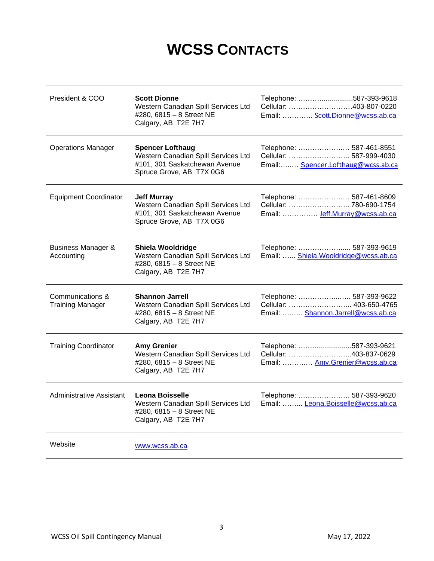### **WCSS CONTACTS**

| President & COO                             | <b>Scott Dionne</b><br>Western Canadian Spill Services Ltd<br>#280, 6815 - 8 Street NE<br>Calgary, AB T2E 7H7               | Telephone: 587-393-9618<br>Cellular: 403-807-0220<br>Email:  Scott.Dionne@wcss.ab.ca      |
|---------------------------------------------|-----------------------------------------------------------------------------------------------------------------------------|-------------------------------------------------------------------------------------------|
| <b>Operations Manager</b>                   | <b>Spencer Lofthaug</b><br>Western Canadian Spill Services Ltd<br>#101, 301 Saskatchewan Avenue<br>Spruce Grove, AB T7X 0G6 | Telephone:  587-461-8551<br>Cellular:  587-999-4030<br>Email: Spencer.Lofthaug@wcss.ab.ca |
| <b>Equipment Coordinator</b>                | <b>Jeff Murray</b><br>Western Canadian Spill Services Ltd<br>#101, 301 Saskatchewan Avenue<br>Spruce Grove, AB T7X 0G6      | Telephone:  587-461-8609<br>Cellular:  780-690-1754<br>Email:  Jeff.Murray@wcss.ab.ca     |
| <b>Business Manager &amp;</b><br>Accounting | <b>Shiela Wooldridge</b><br>Western Canadian Spill Services Ltd<br>#280, 6815 - 8 Street NE<br>Calgary, AB T2E 7H7          | Telephone:  587-393-9619<br>Email:  Shiela. Wooldridge@wcss.ab.ca                         |
| Communications &<br><b>Training Manager</b> | <b>Shannon Jarrell</b><br>Western Canadian Spill Services Ltd<br>#280, 6815 - 8 Street NE<br>Calgary, AB T2E 7H7            | Telephone:  587-393-9622<br>Cellular:  403-650-4765<br>Email:  Shannon.Jarrell@wcss.ab.ca |
| <b>Training Coordinator</b>                 | <b>Amy Grenier</b><br>Western Canadian Spill Services Ltd<br>#280, 6815 - 8 Street NE<br>Calgary, AB T2E 7H7                | Telephone: 587-393-9621<br>Cellular: 403-837-0629<br>Email:  Amy.Grenier@wcss.ab.ca       |
| Administrative Assistant                    | Leona Boisselle<br>Western Canadian Spill Services Ltd<br>#280, 6815 - 8 Street NE<br>Calgary, AB T2E 7H7                   | Telephone:  587-393-9620<br>Email:  Leona. Boisselle@wcss.ab.ca                           |
| Website                                     | www.wcss.ab.ca                                                                                                              |                                                                                           |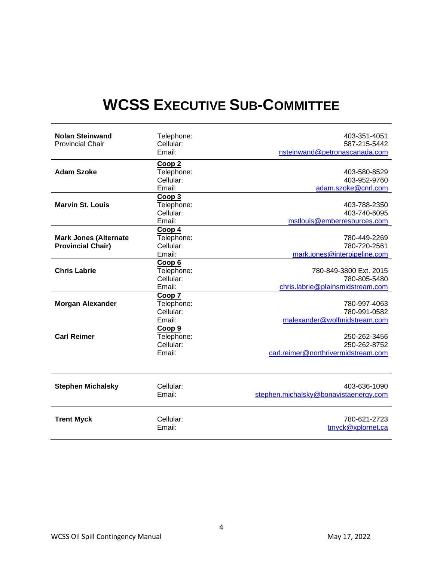#### **WCSS EXECUTIVE SUB-COMMITTEE**

| <b>Nolan Steinwand</b><br><b>Provincial Chair</b>        | Telephone:<br>Cellular:<br>Email:                      | 403-351-4051<br>587-215-5442<br>nsteinwand@petronascanada.com              |
|----------------------------------------------------------|--------------------------------------------------------|----------------------------------------------------------------------------|
| <b>Adam Szoke</b>                                        | Coop <sub>2</sub><br>Telephone:<br>Cellular:<br>Email: | 403-580-8529<br>403-952-9760<br>adam.szoke@cnrl.com                        |
| <b>Marvin St. Louis</b>                                  | Coop 3<br>Telephone:<br>Cellular:<br>Email:            | 403-788-2350<br>403-740-6095<br>mstlouis@emberresources.com                |
| <b>Mark Jones (Alternate</b><br><b>Provincial Chair)</b> | Coop 4<br>Telephone:<br>Cellular:<br>Email:            | 780-449-2269<br>780-720-2561<br>mark.jones@interpipeline.com               |
| <b>Chris Labrie</b>                                      | Coop 6<br>Telephone:<br>Cellular:<br>Email:            | 780-849-3800 Ext. 2015<br>780-805-5480<br>chris.labrie@plainsmidstream.com |
| <b>Morgan Alexander</b>                                  | Coop 7<br>Telephone:<br>Cellular:<br>Email:            | 780-997-4063<br>780-991-0582<br>malexander@wolfmidstream.com               |
| <b>Carl Reimer</b>                                       | Coop 9<br>Telephone:<br>Cellular:<br>Email:            | 250-262-3456<br>250-262-8752<br>carl.reimer@northrivermidstream.com        |
| <b>Stephen Michalsky</b>                                 | Cellular:<br>Email:                                    | 403-636-1090<br>stephen.michalsky@bonavistaenergy.com                      |
| <b>Trent Myck</b>                                        | Cellular:<br>Email:                                    | 780-621-2723<br>tmyck@xplornet.ca                                          |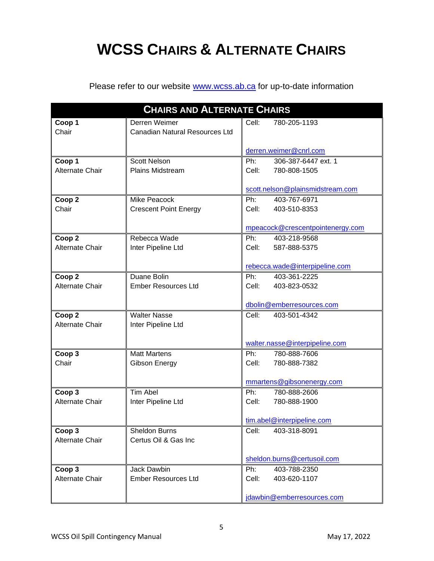### **WCSS CHAIRS & ALTERNATE CHAIRS**

Please refer to our website [www.wcss.ab.ca](http://www.wcss.ab.ca/) for up-to-date information

|                   | <b>CHAIRS AND ALTERNATE CHAIRS</b> |                                  |
|-------------------|------------------------------------|----------------------------------|
| Coop 1            | Derren Weimer                      | Cell:<br>780-205-1193            |
| Chair             | Canadian Natural Resources Ltd     |                                  |
|                   |                                    | derren.weimer@cnrl.com           |
| Coop 1            | <b>Scott Nelson</b>                | Ph:<br>306-387-6447 ext. 1       |
| Alternate Chair   | Plains Midstream                   | 780-808-1505<br>Cell:            |
|                   |                                    |                                  |
|                   |                                    | scott.nelson@plainsmidstream.com |
| Coop 2            | Mike Peacock                       | 403-767-6971<br>Ph:              |
| Chair             | <b>Crescent Point Energy</b>       | 403-510-8353<br>Cell:            |
|                   |                                    | mpeacock@crescentpointenergy.com |
| Coop 2            | Rebecca Wade                       | Ph:<br>403-218-9568              |
| Alternate Chair   | Inter Pipeline Ltd                 | 587-888-5375<br>Cell:            |
|                   |                                    | rebecca.wade@interpipeline.com   |
| Coop 2            | Duane Bolin                        | Ph:<br>403-361-2225              |
| Alternate Chair   | <b>Ember Resources Ltd</b>         | 403-823-0532<br>Cell:            |
|                   |                                    |                                  |
|                   |                                    | dbolin@emberresources.com        |
| Coop <sub>2</sub> | <b>Walter Nasse</b>                | 403-501-4342<br>Cell:            |
| Alternate Chair   | Inter Pipeline Ltd                 |                                  |
|                   |                                    | walter.nasse@interpipeline.com   |
| Coop 3            | <b>Matt Martens</b>                | Ph:<br>780-888-7606              |
| Chair             | Gibson Energy                      | 780-888-7382<br>Cell:            |
|                   |                                    |                                  |
|                   |                                    | mmartens@gibsonenergy.com        |
| Coop 3            | <b>Tim Abel</b>                    | Ph:<br>780-888-2606              |
| Alternate Chair   | Inter Pipeline Ltd                 | Cell:<br>780-888-1900            |
|                   |                                    | tim.abel@interpipeline.com       |
| Coop 3            | Sheldon Burns                      | 403-318-8091<br>Cell:            |
| Alternate Chair   | Certus Oil & Gas Inc               |                                  |
|                   |                                    |                                  |
|                   |                                    | sheldon.burns@certusoil.com      |
| Coop 3            | Jack Dawbin                        | Ph:<br>403-788-2350              |
| Alternate Chair   | <b>Ember Resources Ltd</b>         | Cell:<br>403-620-1107            |
|                   |                                    |                                  |
|                   |                                    | jdawbin@emberresources.com       |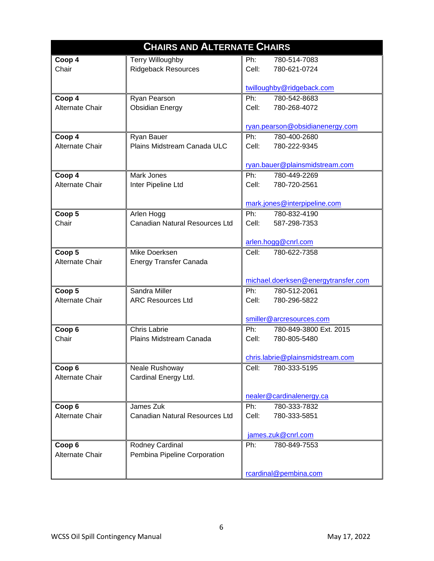|                           | <b>CHAIRS AND ALTERNATE CHAIRS</b> |                                     |
|---------------------------|------------------------------------|-------------------------------------|
| Coop 4                    | <b>Terry Willoughby</b>            | 780-514-7083<br>Ph:                 |
| Chair                     | <b>Ridgeback Resources</b>         | Cell:<br>780-621-0724               |
|                           |                                    |                                     |
|                           |                                    | twilloughby@ridgeback.com           |
| Coop 4                    | Ryan Pearson                       | Ph:<br>780-542-8683                 |
| Alternate Chair           | <b>Obsidian Energy</b>             | Cell:<br>780-268-4072               |
|                           |                                    |                                     |
|                           |                                    | ryan.pearson@obsidianenergy.com     |
| Coop 4                    | Ryan Bauer                         | Ph:<br>780-400-2680                 |
| Alternate Chair           | Plains Midstream Canada ULC        | Cell:<br>780-222-9345               |
|                           |                                    |                                     |
|                           |                                    | ryan.bauer@plainsmidstream.com      |
| Coop 4                    | Mark Jones                         | Ph:<br>780-449-2269                 |
| Alternate Chair           | Inter Pipeline Ltd                 | Cell:<br>780-720-2561               |
|                           |                                    |                                     |
|                           |                                    | mark.jones@interpipeline.com        |
| Coop 5                    | Arlen Hogg                         | Ph:<br>780-832-4190                 |
| Chair                     | Canadian Natural Resources Ltd     | Cell:<br>587-298-7353               |
|                           |                                    |                                     |
|                           |                                    | arlen.hogg@cnrl.com                 |
| Coop 5                    | Mike Doerksen                      | Cell:<br>780-622-7358               |
| Alternate Chair           | <b>Energy Transfer Canada</b>      |                                     |
|                           |                                    |                                     |
|                           |                                    | michael.doerksen@energytransfer.com |
| Coop 5                    | Sandra Miller                      | Ph:<br>780-512-2061                 |
| Alternate Chair           | <b>ARC Resources Ltd</b>           | Cell:<br>780-296-5822               |
|                           |                                    |                                     |
|                           |                                    | smiller@arcresources.com            |
| Coop 6                    | <b>Chris Labrie</b>                | Ph:<br>780-849-3800 Ext. 2015       |
| Chair                     | Plains Midstream Canada            | Cell:<br>780-805-5480               |
|                           |                                    | chris.labrie@plainsmidstream.com    |
|                           |                                    |                                     |
| Coop 6<br>Alternate Chair | Neale Rushoway                     | Cell:<br>780-333-5195               |
|                           | Cardinal Energy Ltd.               |                                     |
|                           |                                    | nealer@cardinalenergy.ca            |
| Coop 6                    | James Zuk                          | Ph:<br>780-333-7832                 |
| Alternate Chair           | Canadian Natural Resources Ltd     | Cell:<br>780-333-5851               |
|                           |                                    |                                     |
|                           |                                    | james.zuk@cnrl.com                  |
| Coop 6                    | Rodney Cardinal                    | Ph:<br>780-849-7553                 |
| Alternate Chair           | Pembina Pipeline Corporation       |                                     |
|                           |                                    |                                     |
|                           |                                    | rcardinal@pembina.com               |
|                           |                                    |                                     |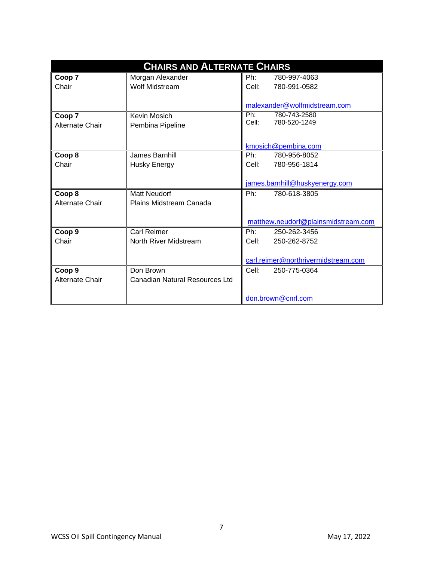|                 | <b>CHAIRS AND ALTERNATE CHAIRS</b> |                                     |
|-----------------|------------------------------------|-------------------------------------|
| Coop 7          | Morgan Alexander                   | 780-997-4063<br>Ph:                 |
| Chair           | <b>Wolf Midstream</b>              | 780-991-0582<br>Cell:               |
|                 |                                    |                                     |
|                 |                                    | malexander@wolfmidstream.com        |
| Coop 7          | <b>Kevin Mosich</b>                | Ph:<br>780-743-2580                 |
| Alternate Chair | Pembina Pipeline                   | Cell:<br>780-520-1249               |
|                 |                                    |                                     |
|                 |                                    | kmosich@pembina.com                 |
| Coop 8          | James Barnhill                     | Ph:<br>780-956-8052                 |
| Chair           | Husky Energy                       | Cell:<br>780-956-1814               |
|                 |                                    |                                     |
|                 |                                    | james.barnhill@huskyenergy.com      |
| Coop 8          | <b>Matt Neudorf</b>                | Ph:<br>780-618-3805                 |
| Alternate Chair | Plains Midstream Canada            |                                     |
|                 |                                    |                                     |
|                 |                                    | matthew.neudorf@plainsmidstream.com |
| Coop 9          | <b>Carl Reimer</b>                 | Ph:<br>250-262-3456                 |
| Chair           | North River Midstream              | 250-262-8752<br>Cell:               |
|                 |                                    |                                     |
|                 |                                    | carl.reimer@northrivermidstream.com |
| Coop 9          | Don Brown                          | Cell:<br>250-775-0364               |
| Alternate Chair | Canadian Natural Resources Ltd     |                                     |
|                 |                                    |                                     |
|                 |                                    | don.brown@cnrl.com                  |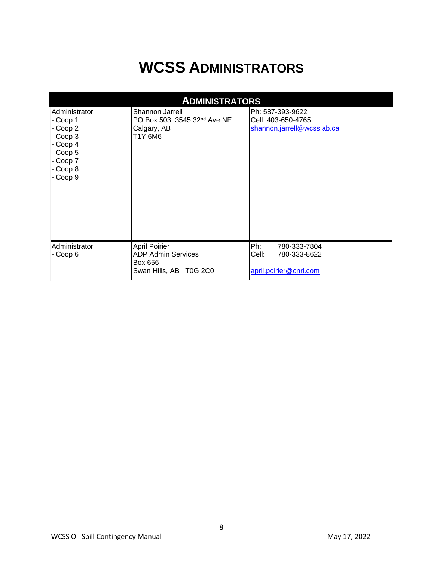#### **WCSS ADMINISTRATORS**

|                                                                                                                | <b>ADMINISTRATORS</b>                                                                 |                                                                         |
|----------------------------------------------------------------------------------------------------------------|---------------------------------------------------------------------------------------|-------------------------------------------------------------------------|
| Administrator<br>- Coop 1<br>- Coop 2<br>- Coop 3<br>- Coop 4<br>$-Coop 5$<br>- Coop 7<br>- Coop 8<br>- Coop 9 | Shannon Jarrell<br>PO Box 503, 3545 32 <sup>nd</sup> Ave NE<br>Calgary, AB<br>T1Y 6M6 | lPh: 587-393-9622<br>Cell: 403-650-4765<br>shannon.jarrell@wcss.ab.ca   |
| Administrator<br>- Coop 6                                                                                      | April Poirier<br>ADP Admin Services<br><b>Box 656</b><br>Swan Hills, AB T0G 2C0       | lPh:<br>780-333-7804<br>780-333-8622<br>Cell:<br>april.poirier@cnrl.com |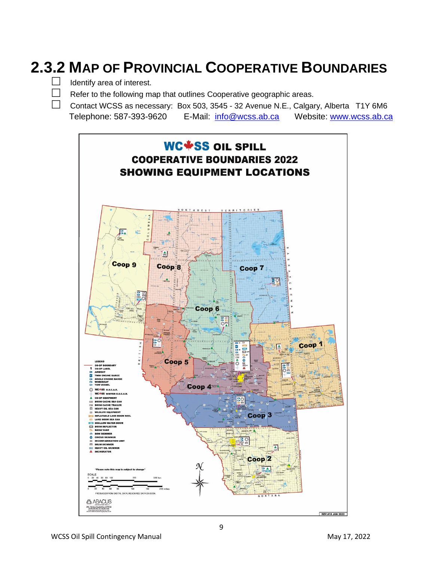#### **2.3.2 MAP OF PROVINCIAL COOPERATIVE BOUNDARIES**



 $\Box$  Identify area of interest.

 $\Box$  Refer to the following map that outlines Cooperative geographic areas.

Contact WCSS as necessary: Box 503, 3545 - 32 Avenue N.E., Calgary, Alberta  $T1Y6M6$ Telephone: 587-393-9620 E-Mail: [info@wcss.ab.ca](mailto:info@wcss.ab.ca) Website: [www.wcss.ab.ca](http://www.wcss.ab.ca/)

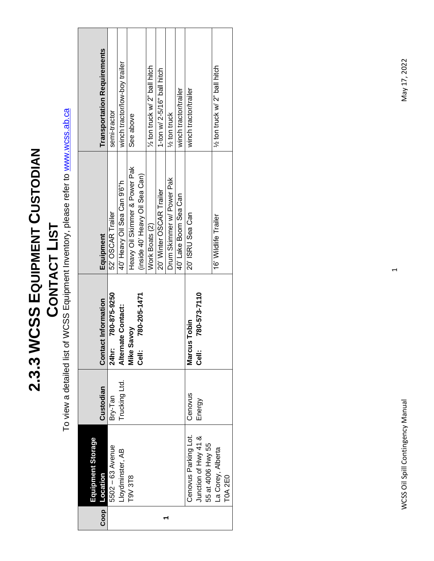# 2.3.3 WCSS EQUIPMENT CUSTODIAN **2.3.3 WCSS EQUIPMENT CUSTODIAN**  CONTACT LIST **CONTACT LIST**

To view a detailed list of WCSS Equipment Inventory, please refer to www.wcss.ab.ca To view a detailed list of WCSS Equipment Inventory, please refer to [www.wcss.ab.ca](http://www.wcss.ab.ca/)

| $\overline{\text{Coop}}$ | Equipment Storage<br>Location | Custodian     | Contact Information         | Equipment                      | <b>Transportation Requirements</b> |
|--------------------------|-------------------------------|---------------|-----------------------------|--------------------------------|------------------------------------|
|                          | 5502 - 63 Avenue              | Bry-Tan       | 780-875-9250<br>24hr:       | 52' OSCAR Trailer              | semi-tractor                       |
|                          | Lloydminster, AB              | Trucking Ltd. | Alternate Contact:          | 40' Heavy Oil Sea Can 9'6"h    | winch tractor/low-boy trailer      |
|                          | T9V 3T8                       |               | <b>Mike Savoy</b>           | Heavy Oil Skimmer & Power Pak  | See above                          |
|                          |                               |               | 780-205-1471<br>Cell:       | (inside 40' Heavy Oil Sea Can) |                                    |
|                          |                               |               |                             | Work Boats (2)                 | 1/2 ton truck w/ 2" ball hitch     |
|                          |                               |               |                             | 20' Winter OSCAR Trailer       | 1-ton w/ 2-5/16" ball hitch        |
|                          |                               |               |                             | Drum Skimmer w/ Power Pak      | 1/ <sub>2</sub> ton truck          |
|                          |                               |               |                             | 40' Lake Boom Sea Can          | winch tractor/trailer              |
|                          | Cenovus Parking Lot.          | Cenovus       | Tobin<br><b>Marcus</b>      | 20' ISRU Sea Can               | winch tractor/trailer              |
|                          | Junction of Hwy 41 &          | Energy        | 780-573-7110<br><u>Celi</u> |                                |                                    |
|                          | 55 at 4006 Hwy 55             |               |                             |                                |                                    |
|                          | La Corey, Alberta             |               |                             | 16' Wildlife Trailer           | 1/2 ton truck w/ 2" ball hitch     |
|                          | <b>TOA 2E0</b>                |               |                             |                                |                                    |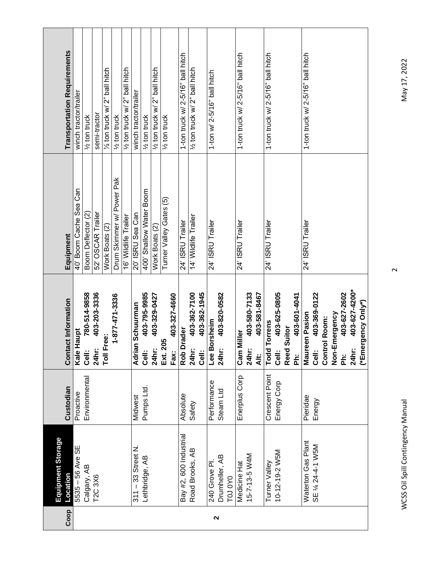| <b>Transportation Requirements</b> | winch tractor/trailer  | 1/2 ton truck         | semi-tractor                 | 1/2 ton truck w/ 2" ball hitch | 1/ <sub>2</sub> ton truck | 1/2 ton truck w/ 2" ball hitch | winch tractor/trailer | 1/ <sub>2</sub> ton truck | 1/2 ton truck w/ 2" ball hitch | 1/ <sub>2</sub> ton truck              |                  | 1-ton truck w/ 2-5/16" ball hitch | % ton truck w/ 2" ball hitch |              | 1-ton w/ 2-5/16" ball hitch |                              |         | 1-ton truck w/ 2-5/16" ball hitch |                       |                     | 1-ton truck w/ 2-5/16" ball hitch |                       |                |                            | 1-ton truck w/ 2-5/16" ball hitch |                 |                      |               |                       |                               |                    |
|------------------------------------|------------------------|-----------------------|------------------------------|--------------------------------|---------------------------|--------------------------------|-----------------------|---------------------------|--------------------------------|----------------------------------------|------------------|-----------------------------------|------------------------------|--------------|-----------------------------|------------------------------|---------|-----------------------------------|-----------------------|---------------------|-----------------------------------|-----------------------|----------------|----------------------------|-----------------------------------|-----------------|----------------------|---------------|-----------------------|-------------------------------|--------------------|
| Equipment                          | 40' Boom Cache Sea Can | Boom Deflector (2)    | 52' OSCAR Trailer            | Work Boats (2)                 | Drum Skimmer w/ Power Pak | 16' Wildlife Trailer           | 20' ISRU Sea Can      | 400' Shallow Water Boom   | Work Boats (2)                 | Turner Valley Gates (5)                | 24' ISRU Trailer |                                   | 14' Wildlife Trailer         |              | 24' ISRU Trailer            |                              |         | 24' ISRU Trailer                  |                       |                     | 24' ISRU Trailer                  |                       |                |                            | 24' ISRU Trailer                  |                 |                      |               |                       |                               |                    |
| <b>Contact Information</b>         | Haupt<br>Kale I        | 780-514-9858<br>Cell: | 403-203-3336<br><b>24hr:</b> | Toll Free:                     | 1-877-471-3336            |                                | Adrian Schuurman      | 403-795-9985<br>Cell:     | 403-329-0427<br>24hr:          | 403-327-4660<br>င္ပိ<br>Ext. 2<br>Fax: |                  | Rob Drader                        | 403-362-7100<br>24hr:        | 403-362-1945 | orsheim<br>Lee B            | 403-820-0582<br><b>24hr:</b> |         | <b>Miller</b><br>Cam I            | 403-580-7133<br>24hr: | 403-581-8467<br>4i: | Torrens<br><b>Todd</b>            | 403-625-0805<br>Cell: | Suitor<br>Reed | 403-601-4041<br><u>ដ</u> ៍ | <b>Maureen Pasion</b>             | 403-369-0122    | <b>Control Room:</b> | Non-Emergency | 403-627-2602<br><br>ه | 403-627-4200*<br><b>24hr:</b> | (*Emergency Only*) |
| Custodian                          | Proactive              | Environmental         |                              |                                |                           |                                | Midwest               | Pumps Ltd.                |                                |                                        |                  | Absolute                          | Safety                       |              | Performance                 | Steam Ltd                    |         | Enerplus Corp                     |                       |                     | Crescent Point                    | Energy Corp           |                |                            | Pieridae                          | Energy          |                      |               |                       |                               |                    |
| Equipment Storage<br>Location      | 5535 - 56 Ave SE       | Calgary, AB           | T2C3X6                       |                                |                           |                                | $311 - 33$ Street N.  | Lethbridge, AB            |                                |                                        |                  | Bay #2, 600 Industrial            | Road Brooks, AB              |              | 240 Grove PI.               | Drumheller, AB               | TOJ 0Y0 | Medicine Hat                      | 15-7-13-5 W4M         |                     | Turner Valley                     | 10-12-19-2 W5M        |                |                            | Waterton Gas Plant                | SE 1/24-4-1 W5M |                      |               |                       |                               |                    |
| Coop                               |                        |                       |                              |                                |                           |                                |                       |                           |                                |                                        |                  |                                   |                              |              | 2                           |                              |         |                                   |                       |                     |                                   |                       |                |                            |                                   |                 |                      |               |                       |                               |                    |

 $\overline{c}$ 

## May 17, 2022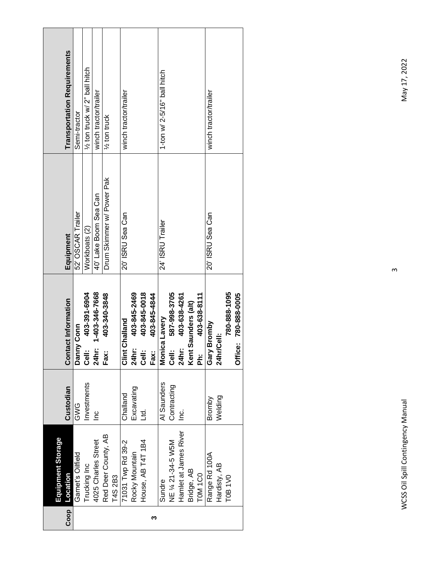|      | Equipment Storage     |               |                     |                        |                           |                                    |
|------|-----------------------|---------------|---------------------|------------------------|---------------------------|------------------------------------|
| Coop | Location              | Custodian     | Conta               | <b>Ict Information</b> | Equipment                 | <b>Transportation Requirements</b> |
|      | Garnet's Oilfield     | GWG           | Danny Conn          |                        | 52' OSCAR Trailer         | Semi-tractor                       |
|      | Trucking Inc          | Investments   | Cell:               | 403-391-6904           | Workboats (2)             | 1/2 ton truck w/ 2" ball hitch     |
|      | 4025 Charles Street   | $\frac{1}{2}$ | 24hr:               | 1-403-346-7668         | 40' Lake Boom Sea Can     | winch tractor/trailer              |
|      | Red Deer County, AB   |               | Fax:                | 403-340-3848           | Drum Skimmer w/ Power Pak | 1/ <sub>2</sub> ton truck          |
|      | <b>T4S 2B3</b>        |               |                     |                        |                           |                                    |
|      | 71031 Twp Rd 39-2     | Challand      | Challand<br>Clint ( |                        | 20' ISRU Sea Can          | winch tractor/trailer              |
|      | Rocky Mountain        | Excavating    | 24hr:               | 403-845-2469           |                           |                                    |
|      | House, AB T4T 1B4     | td.<br>Li     | <b>Cell:</b>        | 403-845-0018           |                           |                                    |
| ო    |                       |               | Fax:                | 403-845-4844           |                           |                                    |
|      | Sundre                | Al Saunders   | Monica Lavery       |                        | 24' ISRU Trailer          | 1-ton w/ 2-5/16" ball hitch        |
|      | NE % 21-34-5 W5M      | Contracting   | Cell:               | 587-998-3705           |                           |                                    |
|      | Hamlet at James River | ن<br>⊇        | <b>24hr:</b>        | 403-638-4261           |                           |                                    |
|      | Bridge, AB            |               | Kent !              | Saunders (alt)         |                           |                                    |
|      | TOM <sub>1CO</sub>    |               | ۔<br>گ              | 403-638-8111           |                           |                                    |
|      | Range Rd 100A         | Bromby        | Bromby<br>Gary      |                        | 20' ISRU Sea Can          | winch tractor/trailer              |
|      | Hardisty, AB          | Welding       | 24hr/Cell:          |                        |                           |                                    |
|      | <b>T0B1V0</b>         |               |                     | 780-888-1095           |                           |                                    |
|      |                       |               | <b>Office:</b>      | 780-888-0005           |                           |                                    |
|      |                       |               |                     |                        |                           |                                    |

May 17, 2022

 $\sim$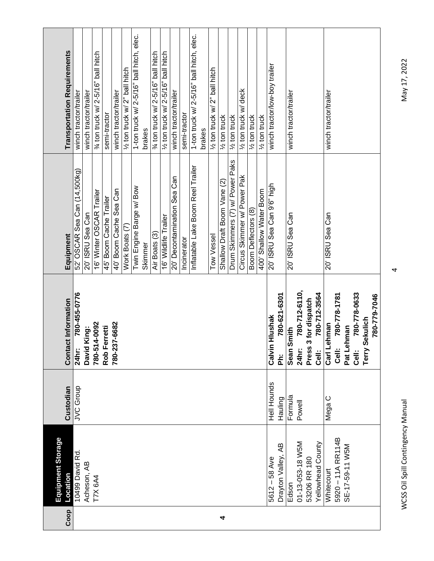| Coop | Equipment Storage<br>Location | Custodian        | <b>Contact Information</b>                | Equipment                         | <b>Transportation Requirements</b>       |
|------|-------------------------------|------------------|-------------------------------------------|-----------------------------------|------------------------------------------|
|      | 10499 David Rd.               | <b>JVC</b> Group | 9/10-554-087<br>24hr:                     | 52' OSCAR Sea Can (14,500kg)      | winch tractor/trailer                    |
|      | Acheson, AB                   |                  | David King:                               | 20' ISRU Sea Can                  | winch tractor/trailer                    |
|      | <b>T7X 6A4</b>                |                  | 14-0092<br>780-51                         | 16' Winter OSCAR Trailer          | % ton truck w/ 2-5/16" ball hitch        |
|      |                               |                  | Rob Ferretti                              | 45' Boom Cache Trailer            | semi-tractor                             |
|      |                               |                  | 780-237-6682                              | 40' Boom Cache Sea Can            | winch tractor/trailer                    |
|      |                               |                  |                                           | Work Boats (7)                    | 1/2 ton truck w/ 2" ball hitch           |
|      |                               |                  |                                           | Twin Engine Barge w/ Bow          | 1-ton truck w/ 2-5/16" ball hitch, elec. |
|      |                               |                  |                                           | Skimmer                           | brakes                                   |
|      |                               |                  |                                           | Air Boats (3)                     | % ton truck w/ 2-5/16" ball hitch        |
|      |                               |                  |                                           | 16' Wildlife Trailer              | 1/2 ton truck w/ 2-5/16" ball hitch      |
|      |                               |                  |                                           | 20' Decontamination Sea Can       | winch tractor/trailer                    |
|      |                               |                  |                                           | Incinerator                       | semi-tractor                             |
|      |                               |                  |                                           | Inflatable Lake Boom Reel Trailer | 1-ton truck w/ 2-5/16" ball hitch, elec. |
|      |                               |                  |                                           |                                   | brakes                                   |
|      |                               |                  |                                           | Tow Vessel                        | 1/2 ton truck w/ 2" ball hitch           |
| 4    |                               |                  |                                           | Shallow Draft Boom Vane (2)       | 1/ <sub>2</sub> ton truck                |
|      |                               |                  |                                           | Drum Skimmers (7) w/ Power Paks   | 1/ <sub>2</sub> ton truck                |
|      |                               |                  |                                           | Circus Skimmer w/ Power Pak       | 1/2 ton truck w/ deck                    |
|      |                               |                  |                                           | Boom Deflectors (8)               | 1/ <sub>2</sub> ton truck                |
|      |                               |                  |                                           | 400' Shallow Water Boom           | 1/ <sub>2</sub> ton truck                |
|      | $5612 - 58$ Ave               | Hell Hounds      | Hlushak<br>Calvin                         | 20' ISRU Sea Can 9'6" high        | winch tractor/low-boy trailer            |
|      | Drayton Valley, AB            | Hauling          | 780-621-6301<br>$\ddot{\hat{\mathbf{z}}}$ |                                   |                                          |
|      | Edson                         | Formula          | Sean Smith                                | 20' ISRU Sea Can                  | winch tractor/trailer                    |
|      | 01-13-053-18 W5M              | Powell           | 780-712-6110,<br>24hr:                    |                                   |                                          |
|      | 53206 RR 180                  |                  | 3 for dispatch<br>Press                   |                                   |                                          |
|      | Yellowhead County             |                  | 780-712-3564<br><u>ili</u><br>O           |                                   |                                          |
|      | Whitecourt                    | Mega C           | Carl Lehman                               | 20' ISRU Sea Can                  | winch tractor/trailer                    |
|      | 5920 - 11A RR114B             |                  | 780-778-1781<br>Cell:                     |                                   |                                          |
|      | SE-17-59-11 W5M               |                  | Pat Lehman                                |                                   |                                          |
|      |                               |                  | 780-778-0633<br>Cell:                     |                                   |                                          |
|      |                               |                  | Sekulich<br>Terry                         |                                   |                                          |
|      |                               |                  | 780-779-7046                              |                                   |                                          |

4

### May 17, 2022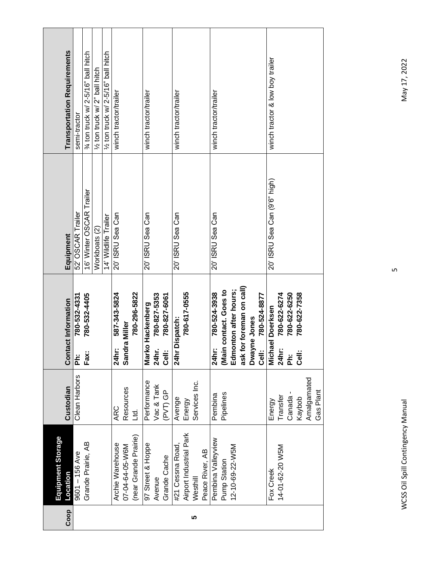| <b>Transportation Requirements</b> | semi-tractor      | % ton truck w/ 2-5/16" ball hitch | 1/2 ton truck w/ 2" ball hitch | % ton truck w/ 2-5/16" ball hitch | winch tractor/trailer        |                 |                       | winch tractor/trailer |                              |                              | winch tractor/trailer |                         |               |                 | winch tractor/trailer        |                           |                       |                          |              |                           | winch tractor & low boy trailer |                              |                   |                              |             |           |
|------------------------------------|-------------------|-----------------------------------|--------------------------------|-----------------------------------|------------------------------|-----------------|-----------------------|-----------------------|------------------------------|------------------------------|-----------------------|-------------------------|---------------|-----------------|------------------------------|---------------------------|-----------------------|--------------------------|--------------|---------------------------|---------------------------------|------------------------------|-------------------|------------------------------|-------------|-----------|
| Equipment                          | 52' OSCAR Trailer | 16' Winter OSCAR Trailer          | Workboats (2)                  | 14' Wildlife Trailer              | 20' ISRU Sea Can             |                 |                       | 20' ISRU Sea Can      |                              |                              | 20' ISRU Sea Can      |                         |               |                 | 20' ISRU Sea Can             |                           |                       |                          |              |                           | 20' ISRU Sea Can (9'6" high)    |                              |                   |                              |             |           |
| <b>Contact Information</b>         | 780-532-4331<br>ä | 780-532-4405<br>Fax:              |                                |                                   | 587-343-5824<br><b>24hr:</b> | Sandra Miller   | 780-296-5822          | Marko Hackenberg      | 780-827-5353<br><b>24hr.</b> | 780-827-6061<br><b>Cell:</b> | Dispatch:<br>24hr     | 780-617-0555            |               |                 | 780-524-3938<br><b>24hr:</b> | contact. Goes to<br>(Main | Edmonton after hours; | ask for foreman on call) | Dwayne Jones | 780-524-8877<br>ا<br>Sell | Michael Doerksen                | 780-622-6274<br><b>24hr:</b> | 780-622-6250<br>ä | 780-622-7358<br><b>Cell:</b> |             |           |
| Custodian                          | Clean Harbors     |                                   |                                |                                   | <b>ARC</b>                   | Resources       | <u>td</u>             | Performance           | Vac & Tank                   | (PVT) GP                     | Avenge                | Energy                  | Services Inc. |                 | Pembina                      | Pipelines                 |                       |                          |              |                           | Energy                          | Transfer                     | Canada-           | Kaybob                       | Amalgamated | Gas Plant |
| Equipment Storage<br>Location      | $9601 - 156$ Ave  | Grande Prairie, AB                |                                |                                   | Archie Warehouse             | 07-04-64-05-W6M | (near Grande Prairie) | 97 Street & Hoppe     | Avenue                       | Grande Cache                 | #21 Cessna Road       | Airport Industrial Park | Westhill      | Peace River, AB | Pembina Valleyview           | Pump Station              | 12-10-69-22-W5M       |                          |              |                           | Fox Creek                       | 14-01-62-20 W5M              |                   |                              |             |           |
|                                    |                   |                                   |                                |                                   |                              |                 |                       |                       |                              |                              |                       |                         |               |                 |                              |                           |                       |                          |              |                           |                                 |                              |                   |                              |             |           |

May 17, 2022

 $\overline{5}$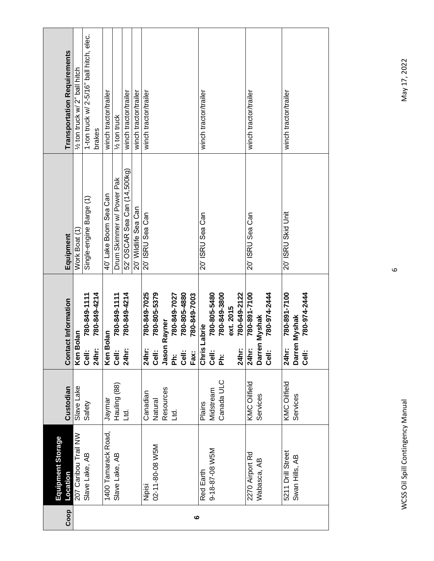|                   | <b>Transportation Requirements</b> | 1/2 ton truck w/ 2" ball hitch | 1-ton truck w/ 2-5/16" ball hitch, elec. | brakes       | winch tractor/trailer | 1/ <sub>2</sub> ton truck | winch tractor/trailer        | winch tractor/trailer | winch tractor/trailer |                 |           |              |              |              | winch tractor/trailer |                |                           |           |              | winch tractor/trailer |               |              | winch tractor/trailer |                |              |  |
|-------------------|------------------------------------|--------------------------------|------------------------------------------|--------------|-----------------------|---------------------------|------------------------------|-----------------------|-----------------------|-----------------|-----------|--------------|--------------|--------------|-----------------------|----------------|---------------------------|-----------|--------------|-----------------------|---------------|--------------|-----------------------|----------------|--------------|--|
|                   | Equipment                          | Work Boat (1)                  | Single-engine Barge (1)                  |              | 40' Lake Boom Sea Can | Drum Skimmer w/ Power Pak | 52' OSCAR Sea Can (14,500kg) | 20' Wildlife Sea Can  | 20' ISRU Sea Can      |                 |           |              |              |              | 20' ISRU Sea Can      |                |                           |           |              | 20' ISRU Sea Can      |               |              | 20' ISRU Skid Unit    |                |              |  |
|                   | Contact Information                | Ken Bolan                      | 780-849-1111                             | 780-849-4214 |                       | 780-849-1111              | 780-849-4214                 |                       | 780-849-7025          | 780-805-5379    | Rayner    | 780-849-7027 | 780-805-4880 | 780-849-7003 | Labrie                | 780-805-5480   | 780-849-3800              | ext. 2015 | 780-649-2122 | 0017-168-087          | Darren Myshak | 780-974-2444 | 780-891-7100          | Darren Myshak  | 780-974-2444 |  |
|                   |                                    |                                | Cell:                                    | 24hr:        | Ken Bolan             | Cell:                     | 24hr:                        |                       | <b>24hr:</b>          | Cell:           | Jason     | <u>يَّ</u>   | Cell:        | Fax:         | Chris                 | Cell:          | $\ddot{\hat{\mathbf{z}}}$ |           | 24hr:        | 24hr:                 |               | <b>Cell:</b> | <b>24hr:</b>          |                | <b>Cell:</b> |  |
|                   | Custodian                          | Slave Lake                     | Safety                                   |              | Jaymar                | Hauling (88)              | Ltd.                         |                       | Canadian              | Natural         | Resources | Ltd.         |              |              | <b>Plains</b>         | Midstream      | Canada ULC                |           |              | KMC Oilfield          | Services      |              | KMC Oilfield          | Services       |              |  |
| Equipment Storage | Location                           | 207 Caribou Trail NW           | Slave Lake, AB                           |              | 1400 Tamarack Road,   | Slave Lake, AB            |                              |                       | Nipisi                | 02-11-80-08 W5M |           |              |              |              | Red Earth             | 9-18-87-08 W5M |                           |           |              | 2270 Airport Rd       | Wabasca, AB   |              | 5211 Drill Street     | Swan Hills, AB |              |  |

May 17, 2022

6

WCSS Oil Spill Contingency Manual Manual Manual Manual Marchanden May 17, 2022 **WCSS Oil Spill Contingency Manual**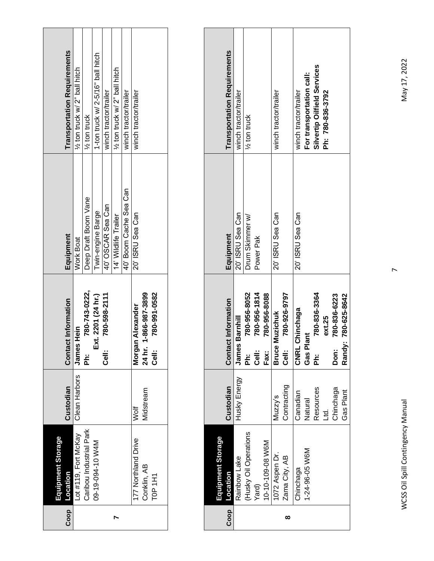| Coop <sup>1</sup> | Equipment Storage<br>Location | Custodian     | <b>Contact Information</b> | Equipment              | <b>Transportation Requirements</b> |
|-------------------|-------------------------------|---------------|----------------------------|------------------------|------------------------------------|
|                   | Lot #119, Fort McKay          | Clean Harbors | s Hein<br>James            | <b>Work Boat</b>       | 1/2 ton truck w/ 2" ball hitch     |
|                   | Caribou Industrial Park       |               | 780-743-0222,<br><br>ه     | Deep Draft Boom Vane   | 1/ <sub>2</sub> ton truck          |
|                   | MAN 0-1994-00-0-00            |               | Ext. 2201 (24 hr.)         | Twin-engine Barge      | 1-ton truck w/ 2-5/16" ball hitch  |
|                   |                               |               | 780-598-2111<br>∺<br>ئ     | 40' OSCAR Sea Can      | winch tractor/trailer              |
|                   |                               |               |                            | 14' Wildlife Trailer   | 1/2 ton truck w/ 2" ball hitch     |
|                   |                               |               |                            | 40' Boom Cache Sea Can | winch tractor/trailer              |
|                   | 177 Northland Drive           | ≸<br>≫        | Morgan Alexander           | 20' ISRU Sea Can       | winch tractor/trailer              |
|                   | Conklin, AB                   | Midstream     | 1-866-987-3899<br>24 hr.   |                        |                                    |
|                   | <b>TOP 1H1</b>                |               | 780-991-0582<br>ا∎<br>گ    |                        |                                    |
|                   |                               |               |                            |                        |                                    |

| <b>Transportation Requirements</b>    | winch tractor/trailer | 1/ <sub>2</sub> ton truck |              |                  | winch tractor/trailer |               | winch tractor/trailer | For transportation call: | Silvertip Oilfield Services | Ph: 780-836-3792 |              |                             |
|---------------------------------------|-----------------------|---------------------------|--------------|------------------|-----------------------|---------------|-----------------------|--------------------------|-----------------------------|------------------|--------------|-----------------------------|
| Equipment                             | 20' ISRU Sea Can      | Drum Skimmer w/           | Power Pak    |                  | 20' ISRU Sea Can      |               | 20' ISRU Sea Can      |                          |                             |                  |              |                             |
| <b>Contact Information</b>            | <b>James Barnhill</b> | 780-956-8052              | 780-956-1814 | 780-956-8088     | Muzichuk              | 780-926-9797  | <b>CNRL Chinchaga</b> | lant                     | 780-836-3364                | ext.25           | 780-836-6223 | $780 - 625 - 8642$<br>Randy |
|                                       |                       | <br>ፚ                     | Cell:        | Fax:             | <b>Bruce</b>          | ၂။<br>၁၉      |                       | Gas Pl                   | <br>ه                       |                  | Don:         |                             |
| Custodian                             | Husky Energy          |                           |              |                  | Muzzy's               | Contracting   | Canadian              | Natural                  | Resources                   | ti<br>T          | Chinchaga    | Gas Plant                   |
| Equipment Storage<br>Location<br>Coop | Rainbow Lake          | (Husky Oil Operations     | Yard)        | 10-10-109-08 W6M | 1072 Aspen Dr.        | Zama City, AB | Chinchaga             | 1-24-96-05 W6M           |                             |                  |              |                             |

May 17, 2022

 $\overline{r}$